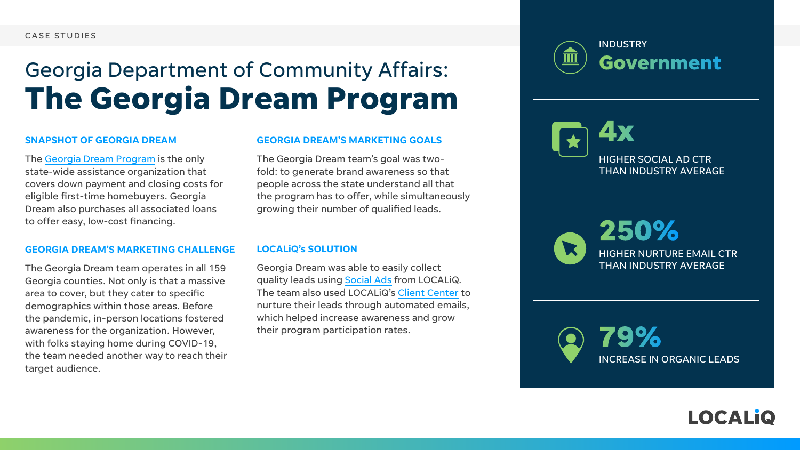#### CASE STUDIES

#### **SNAPSHOT OF GEORGIA DREAM**

The [Georgia Dream Program](https://www.dca.ga.gov/safe-affordable-housing/homeownership/georgia-dream) is the only state-wide assistance organization that covers down payment and closing costs for eligible first-time homebuyers. Georgia Dream also purchases all associated loans to offer easy, low-cost financing.

#### **GEORGIA DREAM'S MARKETING CHALLENGE**

The Georgia Dream team operates in all 159 Georgia counties. Not only is that a massive area to cover, but they cater to specific demographics within those areas. Before the pandemic, in-person locations fostered awareness for the organization. However, with folks staying home during COVID-19, the team needed another way to reach their target audience.

# Georgia Department of Community Affairs: **The Georgia Dream Program**

**4x**

# **Government**





HIGHER NURTURE EMAIL CTR THAN INDUSTRY AVERAGE





HIGHER SOCIAL AD CTR THAN INDUSTRY AVERAGE



#### **GEORGIA DREAM'S MARKETING GOALS**

The Georgia Dream team's goal was twofold: to generate brand awareness so that people across the state understand all that the program has to offer, while simultaneously growing their number of qualified leads.

#### **LOCALiQ's SOLUTION**

Georgia Dream was able to easily collect quality leads using [Social Ads](https://localiq.com/lead-generation/social-ads/) from LOCALiQ. The team also used LOCALiQ's [Client Center](https://localiq.com/reporting-analytics/client-center/) to nurture their leads through automated emails, which helped increase awareness and grow their program participation rates.